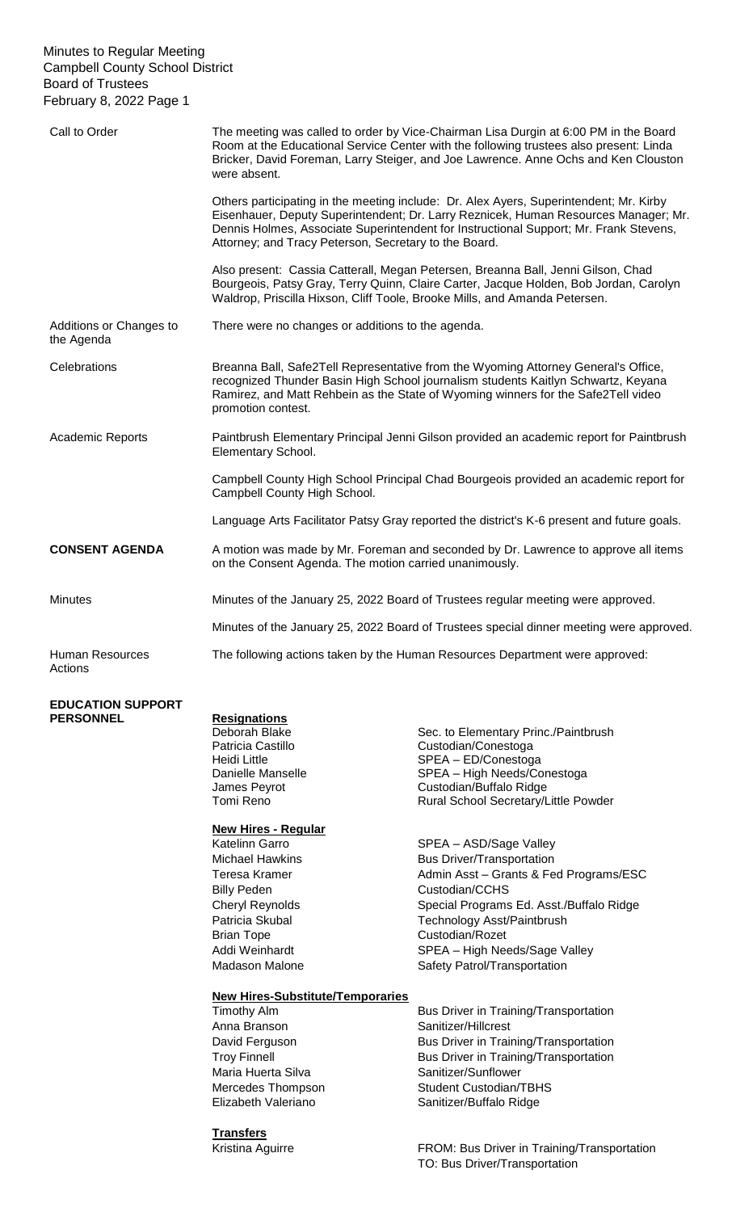#### Minutes to Regular Meeting Campbell County School District Board of Trustees February 8, 2022 Page 1

| Call to Order                         | The meeting was called to order by Vice-Chairman Lisa Durgin at 6:00 PM in the Board<br>Room at the Educational Service Center with the following trustees also present: Linda<br>Bricker, David Foreman, Larry Steiger, and Joe Lawrence. Anne Ochs and Ken Clouston<br>were absent.                                           |
|---------------------------------------|---------------------------------------------------------------------------------------------------------------------------------------------------------------------------------------------------------------------------------------------------------------------------------------------------------------------------------|
|                                       | Others participating in the meeting include: Dr. Alex Ayers, Superintendent; Mr. Kirby<br>Eisenhauer, Deputy Superintendent; Dr. Larry Reznicek, Human Resources Manager; Mr.<br>Dennis Holmes, Associate Superintendent for Instructional Support; Mr. Frank Stevens,<br>Attorney; and Tracy Peterson, Secretary to the Board. |
|                                       | Also present: Cassia Catterall, Megan Petersen, Breanna Ball, Jenni Gilson, Chad<br>Bourgeois, Patsy Gray, Terry Quinn, Claire Carter, Jacque Holden, Bob Jordan, Carolyn<br>Waldrop, Priscilla Hixson, Cliff Toole, Brooke Mills, and Amanda Petersen.                                                                         |
| Additions or Changes to<br>the Agenda | There were no changes or additions to the agenda.                                                                                                                                                                                                                                                                               |
| Celebrations                          | Breanna Ball, Safe2Tell Representative from the Wyoming Attorney General's Office,<br>recognized Thunder Basin High School journalism students Kaitlyn Schwartz, Keyana<br>Ramirez, and Matt Rehbein as the State of Wyoming winners for the Safe2Tell video<br>promotion contest.                                              |
| Academic Reports                      | Paintbrush Elementary Principal Jenni Gilson provided an academic report for Paintbrush<br>Elementary School.                                                                                                                                                                                                                   |
|                                       | Campbell County High School Principal Chad Bourgeois provided an academic report for<br>Campbell County High School.                                                                                                                                                                                                            |
|                                       | Language Arts Facilitator Patsy Gray reported the district's K-6 present and future goals.                                                                                                                                                                                                                                      |
| <b>CONSENT AGENDA</b>                 | A motion was made by Mr. Foreman and seconded by Dr. Lawrence to approve all items<br>on the Consent Agenda. The motion carried unanimously.                                                                                                                                                                                    |
| <b>Minutes</b>                        | Minutes of the January 25, 2022 Board of Trustees regular meeting were approved.                                                                                                                                                                                                                                                |
|                                       | Minutes of the January 25, 2022 Board of Trustees special dinner meeting were approved.                                                                                                                                                                                                                                         |
| Human Resources<br>Actions            | The following actions taken by the Human Resources Department were approved:                                                                                                                                                                                                                                                    |
| <b>TIAU AURBART</b>                   |                                                                                                                                                                                                                                                                                                                                 |

## **EDUCATION SUPPORT PERSONNEL Resignations**

### **New Hires - Regular**

Billy Peden Custodian/CCHS Brian Tope **Custodian/Rozet** 

Sec. to Elementary Princ./Paintbrush Patricia Castillo<br>
Heidi Little<br>
Heidi Little<br>
SPEA – ED/Conestoga Heidi Little SPEA – ED/Conestoga Danielle Manselle SPEA – High Needs/Conestoga James Peyrot<br>
Tomi Reno Custodian/Buffalo Ridge<br>
Rural School Secretary/L Rural School Secretary/Little Powder

Katelinn Garro SPEA – ASD/Sage Valley Michael Hawkins **Bus Driver/Transportation** Teresa Kramer **Admin Asst – Grants & Fed Programs/ESC** Cheryl Reynolds Special Programs Ed. Asst./Buffalo Ridge Patricia Skubal **Technology Asst/Paintbrush** Addi Weinhardt **SPEA** – High Needs/Sage Valley Madason Malone Safety Patrol/Transportation

# **New Hires-Substitute/Temporaries**

Anna Branson Sanitizer/Hillcrest Maria Huerta Silva Sanitizer/Sunflower

**Transfers**

Bus Driver in Training/Transportation David Ferguson **Bus Driver in Training/Transportation** Troy Finnell **Bus Driver in Training/Transportation** Mercedes Thompson Student Custodian/TBHS Elizabeth Valeriano Sanitizer/Buffalo Ridge

Kristina Aguirre **FROM: Bus Driver in Training/Transportation** TO: Bus Driver/Transportation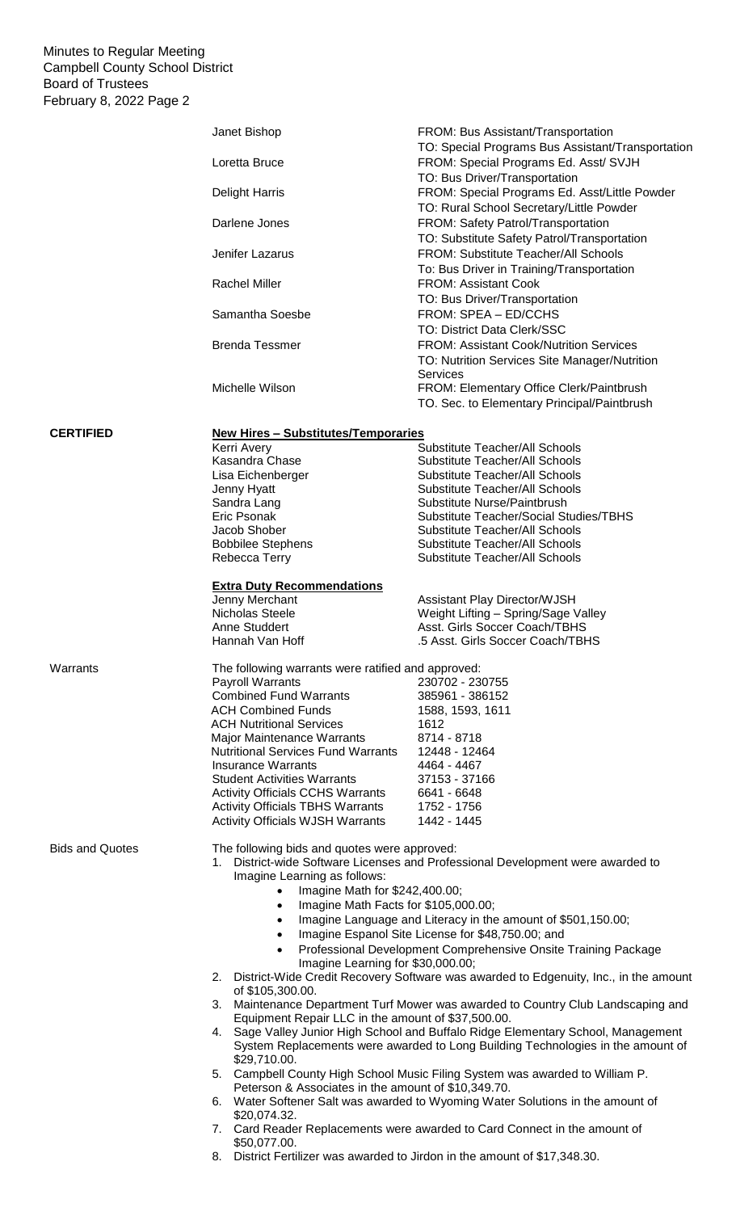Minutes to Regular Meeting Campbell County School District Board of Trustees February 8, 2022 Page 2

|                        | Janet Bishop                                                                                                                    | FROM: Bus Assistant/Transportation                                                                                                                                   |  |
|------------------------|---------------------------------------------------------------------------------------------------------------------------------|----------------------------------------------------------------------------------------------------------------------------------------------------------------------|--|
|                        | Loretta Bruce                                                                                                                   | TO: Special Programs Bus Assistant/Transportation<br>FROM: Special Programs Ed. Asst/ SVJH<br>TO: Bus Driver/Transportation                                          |  |
|                        | <b>Delight Harris</b>                                                                                                           | FROM: Special Programs Ed. Asst/Little Powder<br>TO: Rural School Secretary/Little Powder                                                                            |  |
|                        | Darlene Jones                                                                                                                   | FROM: Safety Patrol/Transportation<br>TO: Substitute Safety Patrol/Transportation                                                                                    |  |
|                        | Jenifer Lazarus                                                                                                                 | FROM: Substitute Teacher/All Schools<br>To: Bus Driver in Training/Transportation                                                                                    |  |
|                        | <b>Rachel Miller</b>                                                                                                            | <b>FROM: Assistant Cook</b><br>TO: Bus Driver/Transportation                                                                                                         |  |
|                        | Samantha Soesbe                                                                                                                 | FROM: SPEA - ED/CCHS<br><b>TO: District Data Clerk/SSC</b>                                                                                                           |  |
|                        | <b>Brenda Tessmer</b>                                                                                                           | <b>FROM: Assistant Cook/Nutrition Services</b><br>TO: Nutrition Services Site Manager/Nutrition<br>Services                                                          |  |
|                        | Michelle Wilson                                                                                                                 | FROM: Elementary Office Clerk/Paintbrush<br>TO. Sec. to Elementary Principal/Paintbrush                                                                              |  |
| <b>CERTIFIED</b>       | <b>New Hires - Substitutes/Temporaries</b>                                                                                      |                                                                                                                                                                      |  |
|                        | Kerri Avery                                                                                                                     | Substitute Teacher/All Schools                                                                                                                                       |  |
|                        | Kasandra Chase<br>Lisa Eichenberger                                                                                             | <b>Substitute Teacher/All Schools</b><br>Substitute Teacher/All Schools                                                                                              |  |
|                        | Jenny Hyatt                                                                                                                     | <b>Substitute Teacher/All Schools</b>                                                                                                                                |  |
|                        | Sandra Lang                                                                                                                     | Substitute Nurse/Paintbrush                                                                                                                                          |  |
|                        | Eric Psonak                                                                                                                     | Substitute Teacher/Social Studies/TBHS                                                                                                                               |  |
|                        | Jacob Shober<br><b>Bobbilee Stephens</b>                                                                                        | Substitute Teacher/All Schools<br>Substitute Teacher/All Schools                                                                                                     |  |
|                        | Rebecca Terry                                                                                                                   | Substitute Teacher/All Schools                                                                                                                                       |  |
|                        | <b>Extra Duty Recommendations</b>                                                                                               |                                                                                                                                                                      |  |
|                        | Jenny Merchant                                                                                                                  | <b>Assistant Play Director/WJSH</b>                                                                                                                                  |  |
|                        | Nicholas Steele                                                                                                                 | Weight Lifting - Spring/Sage Valley                                                                                                                                  |  |
|                        | Anne Studdert                                                                                                                   | Asst. Girls Soccer Coach/TBHS                                                                                                                                        |  |
|                        | Hannah Van Hoff                                                                                                                 | .5 Asst. Girls Soccer Coach/TBHS                                                                                                                                     |  |
| Warrants               | The following warrants were ratified and approved:                                                                              |                                                                                                                                                                      |  |
|                        | <b>Payroll Warrants</b>                                                                                                         | 230702 - 230755                                                                                                                                                      |  |
|                        | <b>Combined Fund Warrants</b><br><b>ACH Combined Funds</b>                                                                      | 385961 - 386152<br>1588, 1593, 1611                                                                                                                                  |  |
|                        | <b>ACH Nutritional Services</b>                                                                                                 | 1612                                                                                                                                                                 |  |
|                        | <b>Major Maintenance Warrants</b>                                                                                               | 8714 - 8718                                                                                                                                                          |  |
|                        | <b>Nutritional Services Fund Warrants</b>                                                                                       | 12448 - 12464                                                                                                                                                        |  |
|                        | <b>Insurance Warrants</b>                                                                                                       | 4464 - 4467                                                                                                                                                          |  |
|                        | <b>Student Activities Warrants</b>                                                                                              | 37153 - 37166                                                                                                                                                        |  |
|                        | <b>Activity Officials CCHS Warrants</b><br><b>Activity Officials TBHS Warrants</b>                                              | 6641 - 6648<br>1752 - 1756                                                                                                                                           |  |
|                        | <b>Activity Officials WJSH Warrants</b>                                                                                         | 1442 - 1445                                                                                                                                                          |  |
|                        |                                                                                                                                 |                                                                                                                                                                      |  |
| <b>Bids and Quotes</b> | The following bids and quotes were approved:<br>1. District-wide Software Licenses and Professional Development were awarded to |                                                                                                                                                                      |  |
|                        | Imagine Learning as follows:                                                                                                    |                                                                                                                                                                      |  |
|                        | Imagine Math for \$242,400.00;<br>$\bullet$                                                                                     |                                                                                                                                                                      |  |
|                        | Imagine Math Facts for \$105,000.00;<br>$\bullet$                                                                               |                                                                                                                                                                      |  |
|                        | $\bullet$<br>$\bullet$                                                                                                          | Imagine Language and Literacy in the amount of \$501,150.00;<br>Imagine Espanol Site License for \$48,750.00; and                                                    |  |
|                        | $\bullet$                                                                                                                       | Professional Development Comprehensive Onsite Training Package                                                                                                       |  |
|                        | Imagine Learning for \$30,000.00;                                                                                               |                                                                                                                                                                      |  |
|                        | of \$105,300.00.                                                                                                                | 2. District-Wide Credit Recovery Software was awarded to Edgenuity, Inc., in the amount                                                                              |  |
|                        |                                                                                                                                 | 3. Maintenance Department Turf Mower was awarded to Country Club Landscaping and                                                                                     |  |
|                        | Equipment Repair LLC in the amount of \$37,500.00.                                                                              |                                                                                                                                                                      |  |
|                        |                                                                                                                                 | 4. Sage Valley Junior High School and Buffalo Ridge Elementary School, Management<br>System Replacements were awarded to Long Building Technologies in the amount of |  |
|                        | \$29,710.00.                                                                                                                    | 5. Campbell County High School Music Filing System was awarded to William P.                                                                                         |  |
|                        | Peterson & Associates in the amount of \$10,349.70.                                                                             | 6. Water Softener Salt was awarded to Wyoming Water Solutions in the amount of                                                                                       |  |
|                        | \$20,074.32.                                                                                                                    |                                                                                                                                                                      |  |
|                        | \$50,077.00.                                                                                                                    | 7. Card Reader Replacements were awarded to Card Connect in the amount of                                                                                            |  |

8. District Fertilizer was awarded to Jirdon in the amount of \$17,348.30.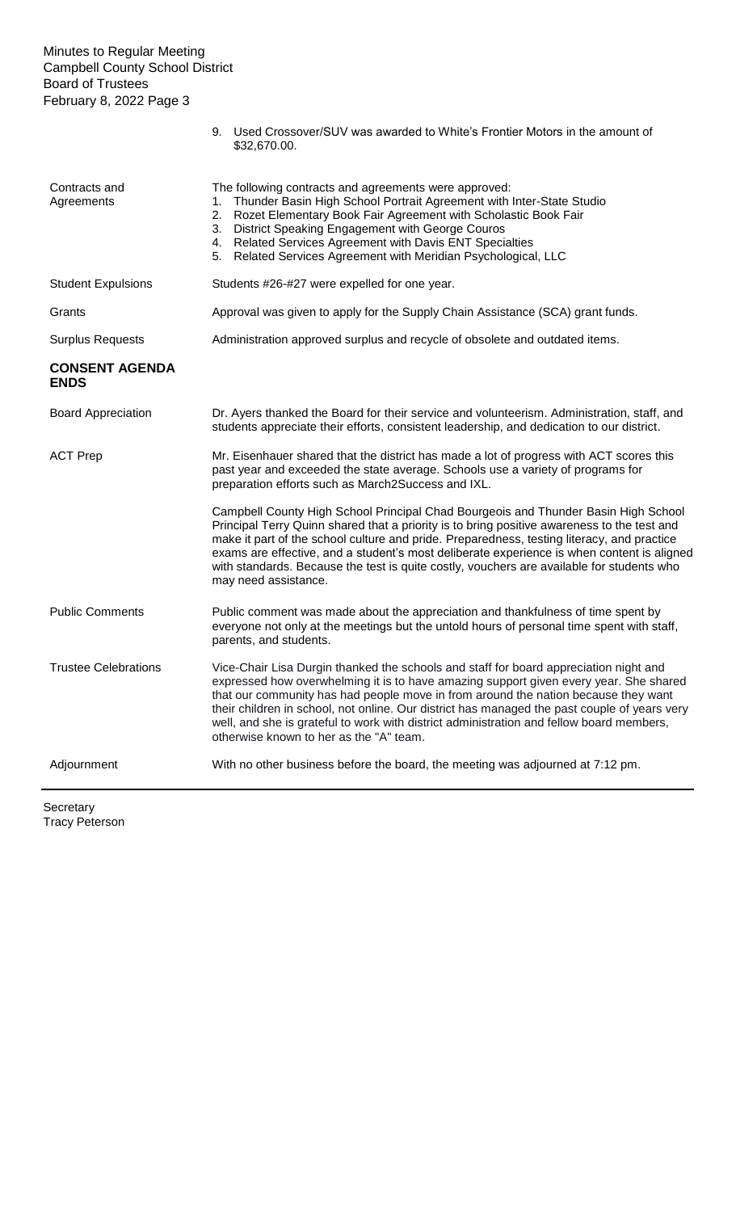### Minutes to Regular Meeting Campbell County School District Board of Trustees February 8, 2022 Page 3

|                                      | \$32,670.00.                                                                                                                                                                                                                                                                                                                                                                                                                                                                                                |
|--------------------------------------|-------------------------------------------------------------------------------------------------------------------------------------------------------------------------------------------------------------------------------------------------------------------------------------------------------------------------------------------------------------------------------------------------------------------------------------------------------------------------------------------------------------|
| Contracts and<br>Agreements          | The following contracts and agreements were approved:<br>Thunder Basin High School Portrait Agreement with Inter-State Studio<br>1.<br>Rozet Elementary Book Fair Agreement with Scholastic Book Fair<br>2.<br>District Speaking Engagement with George Couros<br>3.<br>4. Related Services Agreement with Davis ENT Specialties<br>5. Related Services Agreement with Meridian Psychological, LLC                                                                                                          |
| <b>Student Expulsions</b>            | Students #26-#27 were expelled for one year.                                                                                                                                                                                                                                                                                                                                                                                                                                                                |
| Grants                               | Approval was given to apply for the Supply Chain Assistance (SCA) grant funds.                                                                                                                                                                                                                                                                                                                                                                                                                              |
| <b>Surplus Requests</b>              | Administration approved surplus and recycle of obsolete and outdated items.                                                                                                                                                                                                                                                                                                                                                                                                                                 |
| <b>CONSENT AGENDA</b><br><b>ENDS</b> |                                                                                                                                                                                                                                                                                                                                                                                                                                                                                                             |
| <b>Board Appreciation</b>            | Dr. Ayers thanked the Board for their service and volunteerism. Administration, staff, and<br>students appreciate their efforts, consistent leadership, and dedication to our district.                                                                                                                                                                                                                                                                                                                     |
| <b>ACT Prep</b>                      | Mr. Eisenhauer shared that the district has made a lot of progress with ACT scores this<br>past year and exceeded the state average. Schools use a variety of programs for<br>preparation efforts such as March2Success and IXL.                                                                                                                                                                                                                                                                            |
|                                      | Campbell County High School Principal Chad Bourgeois and Thunder Basin High School<br>Principal Terry Quinn shared that a priority is to bring positive awareness to the test and<br>make it part of the school culture and pride. Preparedness, testing literacy, and practice<br>exams are effective, and a student's most deliberate experience is when content is aligned<br>with standards. Because the test is quite costly, vouchers are available for students who<br>may need assistance.          |
| <b>Public Comments</b>               | Public comment was made about the appreciation and thankfulness of time spent by<br>everyone not only at the meetings but the untold hours of personal time spent with staff,<br>parents, and students.                                                                                                                                                                                                                                                                                                     |
| <b>Trustee Celebrations</b>          | Vice-Chair Lisa Durgin thanked the schools and staff for board appreciation night and<br>expressed how overwhelming it is to have amazing support given every year. She shared<br>that our community has had people move in from around the nation because they want<br>their children in school, not online. Our district has managed the past couple of years very<br>well, and she is grateful to work with district administration and fellow board members,<br>otherwise known to her as the "A" team. |
| Adjournment                          | With no other business before the board, the meeting was adjourned at 7:12 pm.                                                                                                                                                                                                                                                                                                                                                                                                                              |

9. Used Crossover/SUV was awarded to White's Frontier Motors in the amount of

Secretary Tracy Peterson